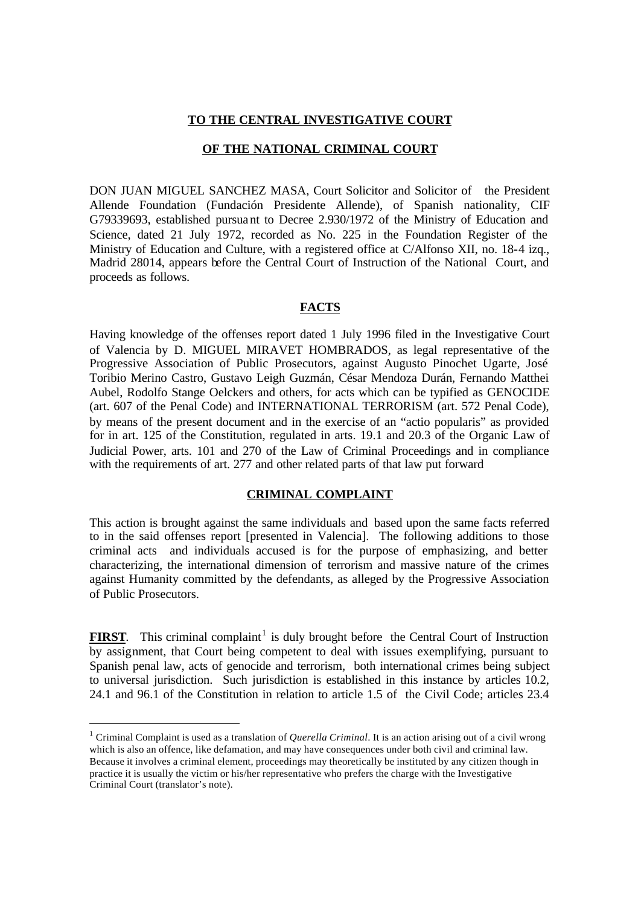# **TO THE CENTRAL INVESTIGATIVE COURT**

# **OF THE NATIONAL CRIMINAL COURT**

DON JUAN MIGUEL SANCHEZ MASA, Court Solicitor and Solicitor of the President Allende Foundation (Fundación Presidente Allende), of Spanish nationality, CIF G79339693, established pursuant to Decree 2.930/1972 of the Ministry of Education and Science, dated 21 July 1972, recorded as No. 225 in the Foundation Register of the Ministry of Education and Culture, with a registered office at C/Alfonso XII, no. 18-4 izq., Madrid 28014, appears before the Central Court of Instruction of the National Court, and proceeds as follows.

# **FACTS**

Having knowledge of the offenses report dated 1 July 1996 filed in the Investigative Court of Valencia by D. MIGUEL MIRAVET HOMBRADOS, as legal representative of the Progressive Association of Public Prosecutors, against Augusto Pinochet Ugarte, José Toribio Merino Castro, Gustavo Leigh Guzmán, César Mendoza Durán, Fernando Matthei Aubel, Rodolfo Stange Oelckers and others, for acts which can be typified as GENOCIDE (art. 607 of the Penal Code) and INTERNATIONAL TERRORISM (art. 572 Penal Code), by means of the present document and in the exercise of an "actio popularis" as provided for in art. 125 of the Constitution, regulated in arts. 19.1 and 20.3 of the Organic Law of Judicial Power, arts. 101 and 270 of the Law of Criminal Proceedings and in compliance with the requirements of art. 277 and other related parts of that law put forward

# **CRIMINAL COMPLAINT**

This action is brought against the same individuals and based upon the same facts referred to in the said offenses report [presented in Valencia]. The following additions to those criminal acts and individuals accused is for the purpose of emphasizing, and better characterizing, the international dimension of terrorism and massive nature of the crimes against Humanity committed by the defendants, as alleged by the Progressive Association of Public Prosecutors.

**FIRST**. This criminal complaint<sup>1</sup> is duly brought before the Central Court of Instruction by assignment, that Court being competent to deal with issues exemplifying, pursuant to Spanish penal law, acts of genocide and terrorism, both international crimes being subject to universal jurisdiction. Such jurisdiction is established in this instance by articles 10.2, 24.1 and 96.1 of the Constitution in relation to article 1.5 of the Civil Code; articles 23.4

 $\overline{a}$ 

<sup>&</sup>lt;sup>1</sup> Criminal Complaint is used as a translation of *Querella Criminal*. It is an action arising out of a civil wrong which is also an offence, like defamation, and may have consequences under both civil and criminal law. Because it involves a criminal element, proceedings may theoretically be instituted by any citizen though in practice it is usually the victim or his/her representative who prefers the charge with the Investigative Criminal Court (translator's note).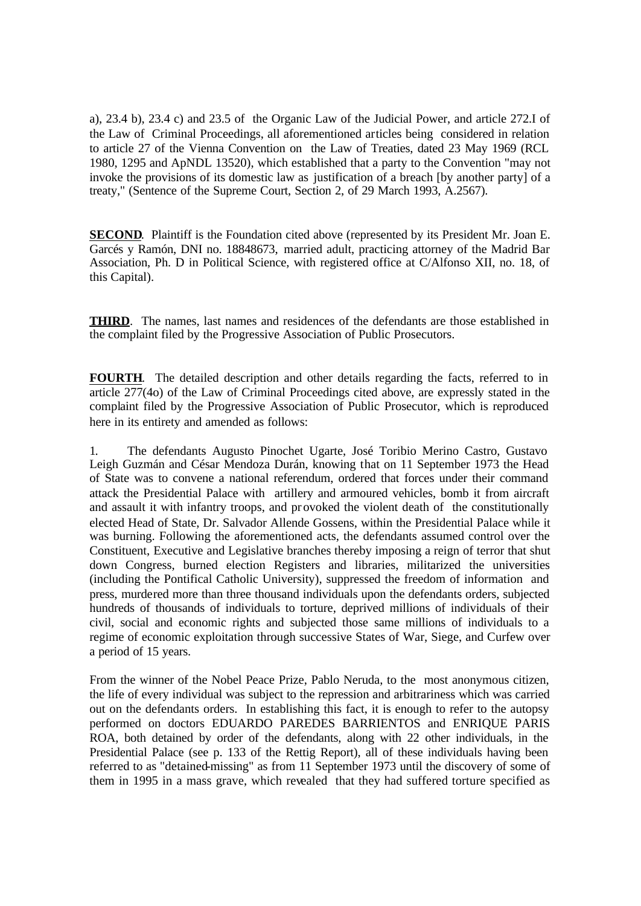a), 23.4 b), 23.4 c) and 23.5 of the Organic Law of the Judicial Power, and article 272.I of the Law of Criminal Proceedings, all aforementioned articles being considered in relation to article 27 of the Vienna Convention on the Law of Treaties, dated 23 May 1969 (RCL 1980, 1295 and ApNDL 13520), which established that a party to the Convention "may not invoke the provisions of its domestic law as justification of a breach [by another party] of a treaty," (Sentence of the Supreme Court, Section 2, of 29 March 1993, A.2567).

**SECOND**. Plaintiff is the Foundation cited above (represented by its President Mr. Joan E. Garcés y Ramón, DNI no. 18848673, married adult, practicing attorney of the Madrid Bar Association, Ph. D in Political Science, with registered office at C/Alfonso XII, no. 18, of this Capital).

**THIRD**. The names, last names and residences of the defendants are those established in the complaint filed by the Progressive Association of Public Prosecutors.

**FOURTH**. The detailed description and other details regarding the facts, referred to in article 277(4o) of the Law of Criminal Proceedings cited above, are expressly stated in the complaint filed by the Progressive Association of Public Prosecutor, which is reproduced here in its entirety and amended as follows:

1. The defendants Augusto Pinochet Ugarte, José Toribio Merino Castro, Gustavo Leigh Guzmán and César Mendoza Durán, knowing that on 11 September 1973 the Head of State was to convene a national referendum, ordered that forces under their command attack the Presidential Palace with artillery and armoured vehicles, bomb it from aircraft and assault it with infantry troops, and pr ovoked the violent death of the constitutionally elected Head of State, Dr. Salvador Allende Gossens, within the Presidential Palace while it was burning. Following the aforementioned acts, the defendants assumed control over the Constituent, Executive and Legislative branches thereby imposing a reign of terror that shut down Congress, burned election Registers and libraries, militarized the universities (including the Pontifical Catholic University), suppressed the freedom of information and press, murdered more than three thousand individuals upon the defendants orders, subjected hundreds of thousands of individuals to torture, deprived millions of individuals of their civil, social and economic rights and subjected those same millions of individuals to a regime of economic exploitation through successive States of War, Siege, and Curfew over a period of 15 years.

From the winner of the Nobel Peace Prize, Pablo Neruda, to the most anonymous citizen, the life of every individual was subject to the repression and arbitrariness which was carried out on the defendants orders. In establishing this fact, it is enough to refer to the autopsy performed on doctors EDUARDO PAREDES BARRIENTOS and ENRIQUE PARIS ROA, both detained by order of the defendants, along with 22 other individuals, in the Presidential Palace (see p. 133 of the Rettig Report), all of these individuals having been referred to as "detained-missing" as from 11 September 1973 until the discovery of some of them in 1995 in a mass grave, which revealed that they had suffered torture specified as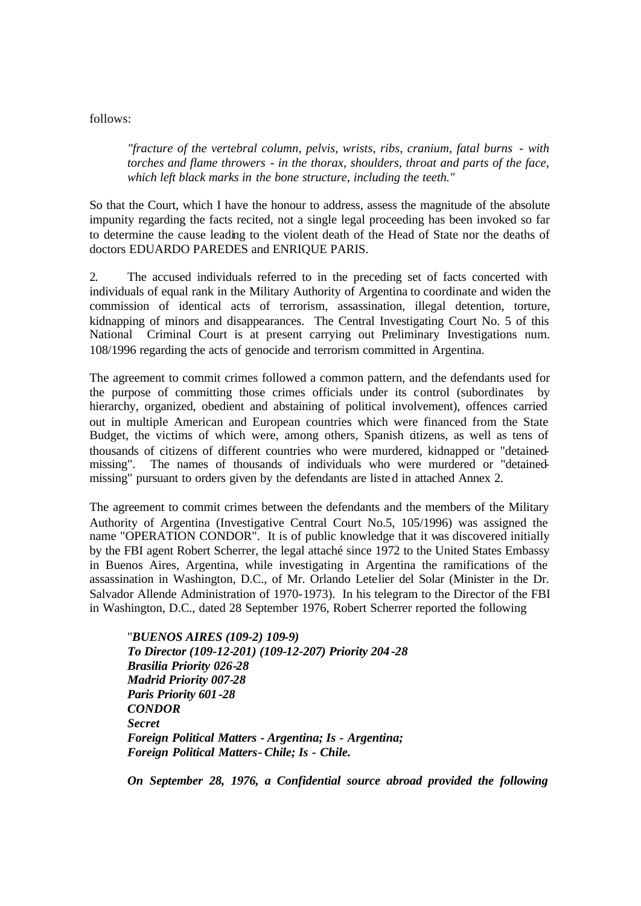### follows:

*"fracture of the vertebral column, pelvis, wrists, ribs, cranium, fatal burns - with torches and flame throwers - in the thorax, shoulders, throat and parts of the face, which left black marks in the bone structure, including the teeth."*

So that the Court, which I have the honour to address, assess the magnitude of the absolute impunity regarding the facts recited, not a single legal proceeding has been invoked so far to determine the cause leading to the violent death of the Head of State nor the deaths of doctors EDUARDO PAREDES and ENRIQUE PARIS.

2. The accused individuals referred to in the preceding set of facts concerted with individuals of equal rank in the Military Authority of Argentina to coordinate and widen the commission of identical acts of terrorism, assassination, illegal detention, torture, kidnapping of minors and disappearances. The Central Investigating Court No. 5 of this National Criminal Court is at present carrying out Preliminary Investigations num. 108/1996 regarding the acts of genocide and terrorism committed in Argentina.

The agreement to commit crimes followed a common pattern, and the defendants used for the purpose of committing those crimes officials under its control (subordinates by hierarchy, organized, obedient and abstaining of political involvement), offences carried out in multiple American and European countries which were financed from the State Budget, the victims of which were, among others, Spanish citizens, as well as tens of thousands of citizens of different countries who were murdered, kidnapped or "detainedmissing". The names of thousands of individuals who were murdered or "detainedmissing" pursuant to orders given by the defendants are listed in attached Annex 2.

The agreement to commit crimes between the defendants and the members of the Military Authority of Argentina (Investigative Central Court No.5, 105/1996) was assigned the name "OPERATION CONDOR". It is of public knowledge that it was discovered initially by the FBI agent Robert Scherrer, the legal attaché since 1972 to the United States Embassy in Buenos Aires, Argentina, while investigating in Argentina the ramifications of the assassination in Washington, D.C., of Mr. Orlando Letelier del Solar (Minister in the Dr. Salvador Allende Administration of 1970-1973). In his telegram to the Director of the FBI in Washington, D.C., dated 28 September 1976, Robert Scherrer reported the following

"*BUENOS AIRES (109-2) 109-9) To Director (109-12-201) (109-12-207) Priority 204-28 Brasilia Priority 026-28 Madrid Priority 007-28 Paris Priority 601-28 CONDOR Secret Foreign Political Matters - Argentina; Is - Argentina; Foreign Political Matters- Chile; Is - Chile.*

*On September 28, 1976, a Confidential source abroad provided the following*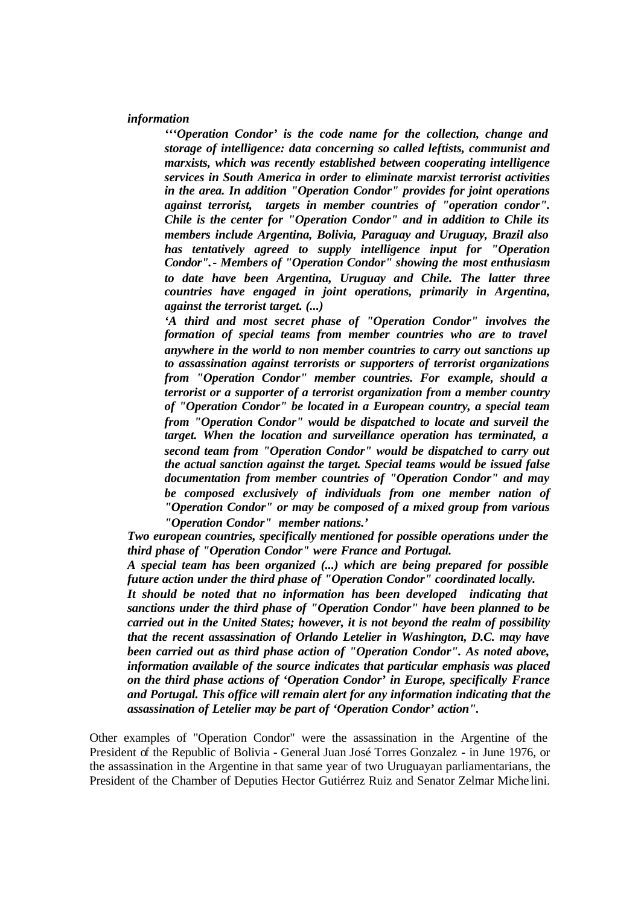#### *information*

*'''Operation Condor' is the code name for the collection, change and storage of intelligence: data concerning so called leftists, communist and marxists, which was recently established between cooperating intelligence services in South America in order to eliminate marxist terrorist activities in the area. In addition "Operation Condor" provides for joint operations against terrorist, targets in member countries of "operation condor". Chile is the center for "Operation Condor" and in addition to Chile its members include Argentina, Bolivia, Paraguay and Uruguay, Brazil also has tentatively agreed to supply intelligence input for "Operation Condor".- Members of "Operation Condor" showing the most enthusiasm to date have been Argentina, Uruguay and Chile. The latter three countries have engaged in joint operations, primarily in Argentina, against the terrorist target. (...)*

*'A third and most secret phase of "Operation Condor" involves the formation of special teams from member countries who are to travel anywhere in the world to non member countries to carry out sanctions up to assassination against terrorists or supporters of terrorist organizations from "Operation Condor" member countries. For example, should a terrorist or a supporter of a terrorist organization from a member country of "Operation Condor" be located in a European country, a special team from "Operation Condor" would be dispatched to locate and surveil the target. When the location and surveillance operation has terminated, a second team from "Operation Condor" would be dispatched to carry out the actual sanction against the target. Special teams would be issued false documentation from member countries of "Operation Condor" and may be composed exclusively of individuals from one member nation of "Operation Condor" or may be composed of a mixed group from various "Operation Condor" member nations.'* 

*Two european countries, specifically mentioned for possible operations under the third phase of "Operation Condor" were France and Portugal.*

*A special team has been organized (...) which are being prepared for possible future action under the third phase of "Operation Condor" coordinated locally.*

*It should be noted that no information has been developed indicating that sanctions under the third phase of "Operation Condor" have been planned to be carried out in the United States; however, it is not beyond the realm of possibility that the recent assassination of Orlando Letelier in Washington, D.C. may have been carried out as third phase action of "Operation Condor". As noted above, information available of the source indicates that particular emphasis was placed on the third phase actions of 'Operation Condor' in Europe, specifically France and Portugal. This office will remain alert for any information indicating that the assassination of Letelier may be part of 'Operation Condor' action".*

Other examples of "Operation Condor" were the assassination in the Argentine of the President of the Republic of Bolivia - General Juan José Torres Gonzalez - in June 1976, or the assassination in the Argentine in that same year of two Uruguayan parliamentarians, the President of the Chamber of Deputies Hector Gutiérrez Ruiz and Senator Zelmar Miche lini.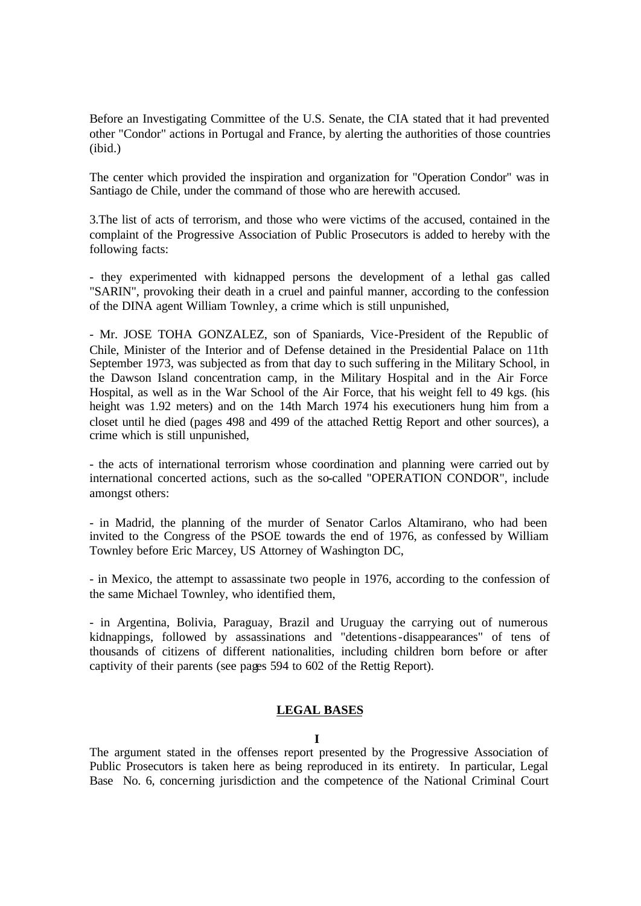Before an Investigating Committee of the U.S. Senate, the CIA stated that it had prevented other "Condor" actions in Portugal and France, by alerting the authorities of those countries (ibid.)

The center which provided the inspiration and organization for "Operation Condor" was in Santiago de Chile, under the command of those who are herewith accused.

3.The list of acts of terrorism, and those who were victims of the accused, contained in the complaint of the Progressive Association of Public Prosecutors is added to hereby with the following facts:

- they experimented with kidnapped persons the development of a lethal gas called "SARIN", provoking their death in a cruel and painful manner, according to the confession of the DINA agent William Townley, a crime which is still unpunished,

- Mr. JOSE TOHA GONZALEZ, son of Spaniards, Vice-President of the Republic of Chile, Minister of the Interior and of Defense detained in the Presidential Palace on 11th September 1973, was subjected as from that day to such suffering in the Military School, in the Dawson Island concentration camp, in the Military Hospital and in the Air Force Hospital, as well as in the War School of the Air Force, that his weight fell to 49 kgs. (his height was 1.92 meters) and on the 14th March 1974 his executioners hung him from a closet until he died (pages 498 and 499 of the attached Rettig Report and other sources), a crime which is still unpunished,

- the acts of international terrorism whose coordination and planning were carried out by international concerted actions, such as the so-called "OPERATION CONDOR", include amongst others:

- in Madrid, the planning of the murder of Senator Carlos Altamirano, who had been invited to the Congress of the PSOE towards the end of 1976, as confessed by William Townley before Eric Marcey, US Attorney of Washington DC,

- in Mexico, the attempt to assassinate two people in 1976, according to the confession of the same Michael Townley, who identified them,

- in Argentina, Bolivia, Paraguay, Brazil and Uruguay the carrying out of numerous kidnappings, followed by assassinations and "detentions-disappearances" of tens of thousands of citizens of different nationalities, including children born before or after captivity of their parents (see pages 594 to 602 of the Rettig Report).

### **LEGAL BASES**

**I**

The argument stated in the offenses report presented by the Progressive Association of Public Prosecutors is taken here as being reproduced in its entirety. In particular, Legal Base No. 6, concerning jurisdiction and the competence of the National Criminal Court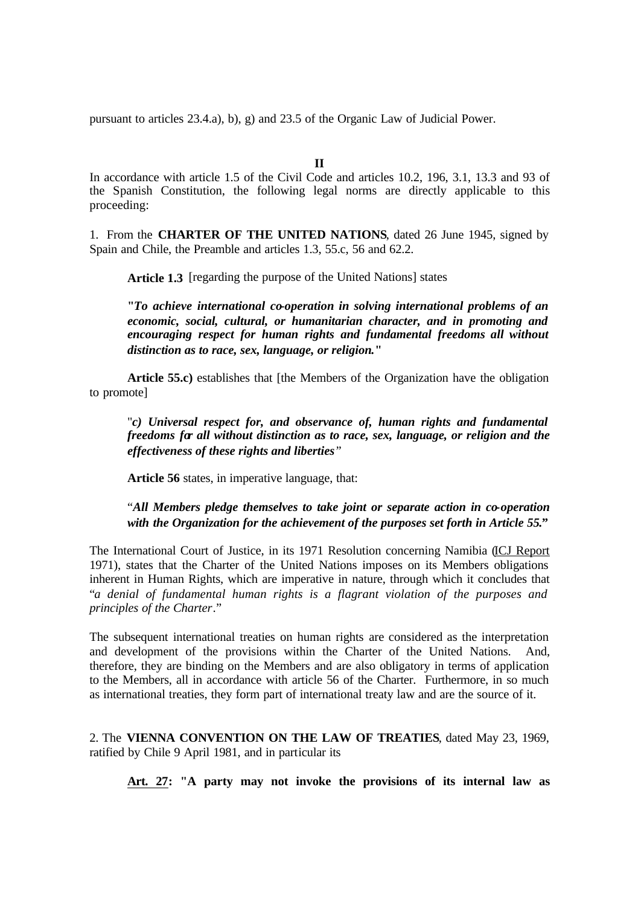pursuant to articles 23.4.a), b), g) and 23.5 of the Organic Law of Judicial Power.

**II**

In accordance with article 1.5 of the Civil Code and articles 10.2, 196, 3.1, 13.3 and 93 of the Spanish Constitution, the following legal norms are directly applicable to this proceeding:

1. From the **CHARTER OF THE UNITED NATIONS**, dated 26 June 1945, signed by Spain and Chile, the Preamble and articles 1.3, 55.c, 56 and 62.2.

**Article 1.3** [regarding the purpose of the United Nations] states

**"***To achieve international co-operation in solving international problems of an economic, social, cultural, or humanitarian character, and in promoting and encouraging respect for human rights and fundamental freedoms all without distinction as to race, sex, language, or religion***."**

**Article 55.c)** establishes that [the Members of the Organization have the obligation to promote]

"*c) Universal respect for, and observance of, human rights and fundamental freedoms for all without distinction as to race, sex, language, or religion and the effectiveness of these rights and liberties"*

**Article 56** states, in imperative language, that:

"*All Members pledge themselves to take joint or separate action in co-operation with the Organization for the achievement of the purposes set forth in Article 55***."**

The International Court of Justice, in its 1971 Resolution concerning Namibia (ICJ Report 1971), states that the Charter of the United Nations imposes on its Members obligations inherent in Human Rights, which are imperative in nature, through which it concludes that "*a denial of fundamental human rights is a flagrant violation of the purposes and principles of the Charter*."

The subsequent international treaties on human rights are considered as the interpretation and development of the provisions within the Charter of the United Nations. And, therefore, they are binding on the Members and are also obligatory in terms of application to the Members, all in accordance with article 56 of the Charter. Furthermore, in so much as international treaties, they form part of international treaty law and are the source of it.

2. The **VIENNA CONVENTION ON THE LAW OF TREATIES**, dated May 23, 1969, ratified by Chile 9 April 1981, and in particular its

**Art. 27: "A party may not invoke the provisions of its internal law as**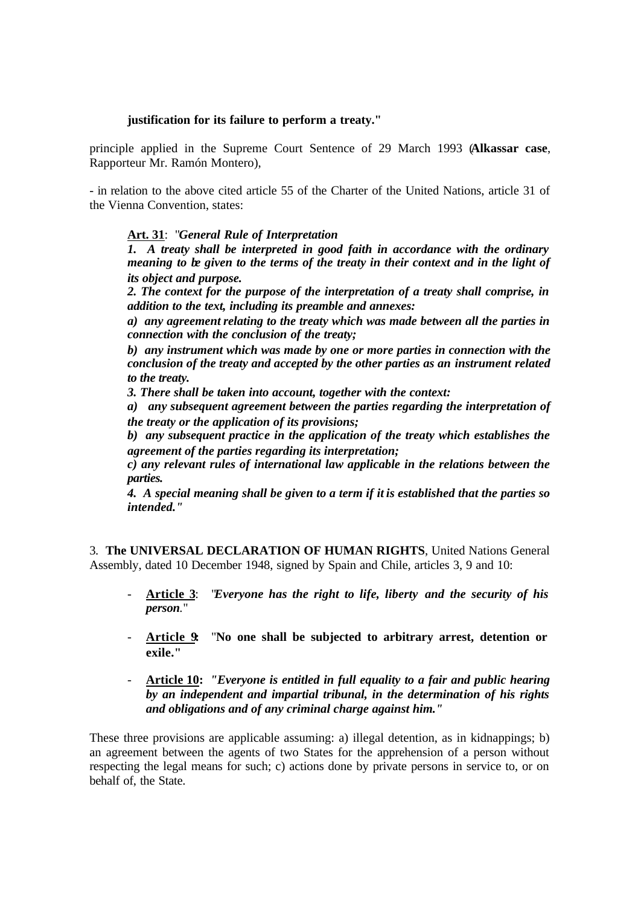### **justification for its failure to perform a treaty."**

principle applied in the Supreme Court Sentence of 29 March 1993 (**Alkassar case**, Rapporteur Mr. Ramón Montero),

- in relation to the above cited article 55 of the Charter of the United Nations, article 31 of the Vienna Convention, states:

# **Art. 31**: "*General Rule of Interpretation*

*1. A treaty shall be interpreted in good faith in accordance with the ordinary meaning to be given to the terms of the treaty in their context and in the light of its object and purpose.*

*2. The context for the purpose of the interpretation of a treaty shall comprise, in addition to the text, including its preamble and annexes:*

*a) any agreement relating to the treaty which was made between all the parties in connection with the conclusion of the treaty;*

*b) any instrument which was made by one or more parties in connection with the conclusion of the treaty and accepted by the other parties as an instrument related to the treaty.*

*3. There shall be taken into account, together with the context:*

*a) any subsequent agreement between the parties regarding the interpretation of the treaty or the application of its provisions;*

*b) any subsequent practice in the application of the treaty which establishes the agreement of the parties regarding its interpretation;*

*c) any relevant rules of international law applicable in the relations between the parties.*

*4. A special meaning shall be given to a term if it is established that the parties so intended."*

3. **The UNIVERSAL DECLARATION OF HUMAN RIGHTS**, United Nations General Assembly, dated 10 December 1948, signed by Spain and Chile, articles 3, 9 and 10:

- **Article 3**: "*Everyone has the right to life, liberty and the security of his person.*"
- **Article 9:** "**No one shall be subjected to arbitrary arrest, detention or exile."**
- **Article 10:** *"Everyone is entitled in full equality to a fair and public hearing by an independent and impartial tribunal, in the determination of his rights and obligations and of any criminal charge against him."*

These three provisions are applicable assuming: a) illegal detention, as in kidnappings; b) an agreement between the agents of two States for the apprehension of a person without respecting the legal means for such; c) actions done by private persons in service to, or on behalf of, the State.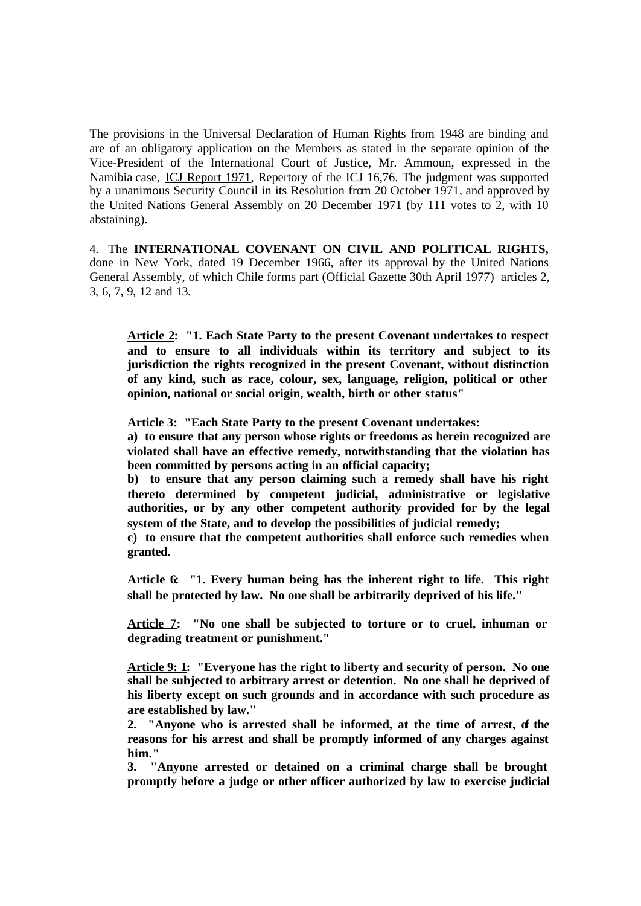The provisions in the Universal Declaration of Human Rights from 1948 are binding and are of an obligatory application on the Members as stated in the separate opinion of the Vice-President of the International Court of Justice, Mr. Ammoun, expressed in the Namibia case, ICJ Report 1971, Repertory of the ICJ 16,76. The judgment was supported by a unanimous Security Council in its Resolution from 20 October 1971, and approved by the United Nations General Assembly on 20 December 1971 (by 111 votes to 2, with 10 abstaining).

4. The **INTERNATIONAL COVENANT ON CIVIL AND POLITICAL RIGHTS,** done in New York, dated 19 December 1966, after its approval by the United Nations General Assembly, of which Chile forms part (Official Gazette 30th April 1977) articles 2, 3, 6, 7, 9, 12 and 13.

**Article 2: "1. Each State Party to the present Covenant undertakes to respect and to ensure to all individuals within its territory and subject to its jurisdiction the rights recognized in the present Covenant, without distinction of any kind, such as race, colour, sex, language, religion, political or other opinion, national or social origin, wealth, birth or other status"**

**Article 3: "Each State Party to the present Covenant undertakes:**

**a) to ensure that any person whose rights or freedoms as herein recognized are violated shall have an effective remedy, notwithstanding that the violation has been committed by persons acting in an official capacity;**

**b) to ensure that any person claiming such a remedy shall have his right thereto determined by competent judicial, administrative or legislative authorities, or by any other competent authority provided for by the legal system of the State, and to develop the possibilities of judicial remedy;**

**c) to ensure that the competent authorities shall enforce such remedies when granted.**

**Article 6: "1. Every human being has the inherent right to life. This right shall be protected by law. No one shall be arbitrarily deprived of his life."**

**Article 7: "No one shall be subjected to torture or to cruel, inhuman or degrading treatment or punishment."**

**Article 9: 1: "Everyone has the right to liberty and security of person. No one shall be subjected to arbitrary arrest or detention. No one shall be deprived of his liberty except on such grounds and in accordance with such procedure as are established by law."**

2. "Anyone who is arrested shall be informed, at the time of arrest, of the **reasons for his arrest and shall be promptly informed of any charges against him."**

**3. "Anyone arrested or detained on a criminal charge shall be brought promptly before a judge or other officer authorized by law to exercise judicial**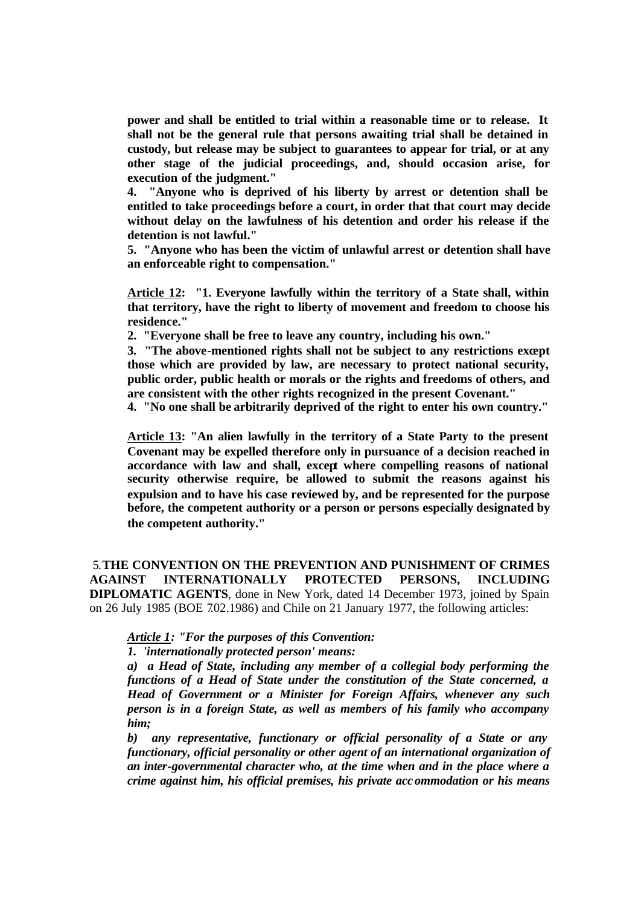**power and shall be entitled to trial within a reasonable time or to release. It shall not be the general rule that persons awaiting trial shall be detained in custody, but release may be subject to guarantees to appear for trial, or at any other stage of the judicial proceedings, and, should occasion arise, for execution of the judgment."**

**4. "Anyone who is deprived of his liberty by arrest or detention shall be entitled to take proceedings before a court, in order that that court may decide without delay on the lawfulness of his detention and order his release if the detention is not lawful."**

**5. "Anyone who has been the victim of unlawful arrest or detention shall have an enforceable right to compensation."**

**Article 12: "1. Everyone lawfully within the territory of a State shall, within that territory, have the right to liberty of movement and freedom to choose his residence."**

**2. "Everyone shall be free to leave any country, including his own."**

**3. "The above-mentioned rights shall not be subject to any restrictions except those which are provided by law, are necessary to protect national security, public order, public health or morals or the rights and freedoms of others, and are consistent with the other rights recognized in the present Covenant."**

**4. "No one shall be arbitrarily deprived of the right to enter his own country."**

**Article 13: "An alien lawfully in the territory of a State Party to the present Covenant may be expelled therefore only in pursuance of a decision reached in accordance with law and shall, except where compelling reasons of national security otherwise require, be allowed to submit the reasons against his expulsion and to have his case reviewed by, and be represented for the purpose before, the competent authority or a person or persons especially designated by the competent authority."**

 5.**THE CONVENTION ON THE PREVENTION AND PUNISHMENT OF CRIMES AGAINST INTERNATIONALLY PROTECTED PERSONS, INCLUDING DIPLOMATIC AGENTS**, done in New York, dated 14 December 1973, joined by Spain on 26 July 1985 (BOE 7.02.1986) and Chile on 21 January 1977, the following articles:

#### *Article 1: "For the purposes of this Convention:*

*1. 'internationally protected person' means:*

*a) a Head of State, including any member of a collegial body performing the functions of a Head of State under the constitution of the State concerned, a Head of Government or a Minister for Foreign Affairs, whenever any such person is in a foreign State, as well as members of his family who accompany him;*

*b) any representative, functionary or official personality of a State or any functionary, official personality or other agent of an international organization of an inter-governmental character who, at the time when and in the place where a crime against him, his official premises, his private accommodation or his means*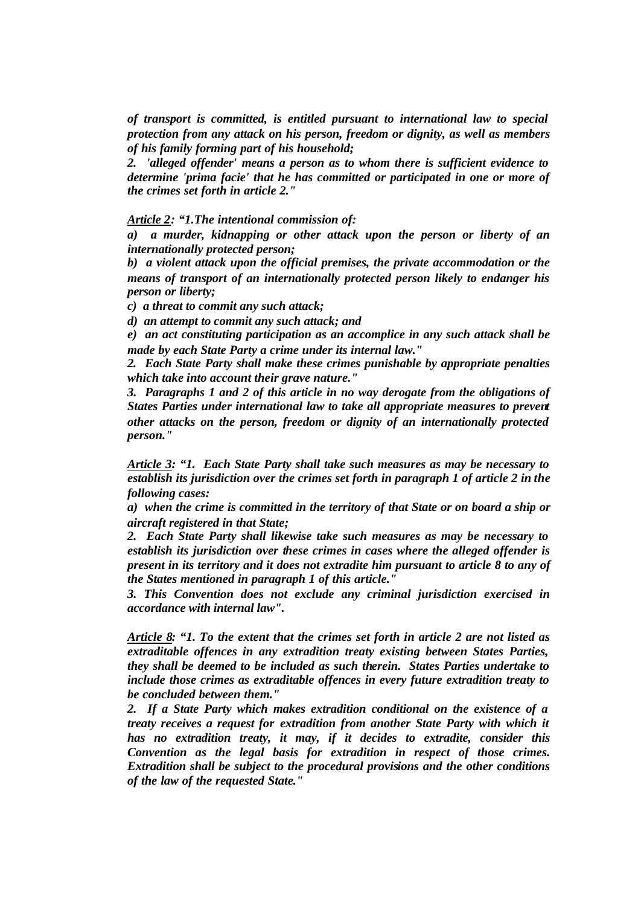*of transport is committed, is entitled pursuant to international law to special protection from any attack on his person, freedom or dignity, as well as members of his family forming part of his household;*

*2. 'alleged offender' means a person as to whom there is sufficient evidence to determine 'prima facie' that he has committed or participated in one or more of the crimes set forth in article 2."*

#### *Article 2: "1.The intentional commission of:*

*a) a murder, kidnapping or other attack upon the person or liberty of an internationally protected person;*

*b) a violent attack upon the official premises, the private accommodation or the means of transport of an internationally protected person likely to endanger his person or liberty;*

*c) a threat to commit any such attack;*

*d) an attempt to commit any such attack; and* 

*e) an act constituting participation as an accomplice in any such attack shall be made by each State Party a crime under its internal law."*

*2. Each State Party shall make these crimes punishable by appropriate penalties which take into account their grave nature."*

*3. Paragraphs 1 and 2 of this article in no way derogate from the obligations of States Parties under international law to take all appropriate measures to prevent other attacks on the person, freedom or dignity of an internationally protected person."*

*Article 3: "1. Each State Party shall take such measures as may be necessary to establish its jurisdiction over the crimes set forth in paragraph 1 of article 2 in the following cases:*

*a) when the crime is committed in the territory of that State or on board a ship or aircraft registered in that State;* 

*2. Each State Party shall likewise take such measures as may be necessary to establish its jurisdiction over these crimes in cases where the alleged offender is present in its territory and it does not extradite him pursuant to article 8 to any of the States mentioned in paragraph 1 of this article."*

*3. This Convention does not exclude any criminal jurisdiction exercised in accordance with internal law".*

*Article 8: "1. To the extent that the crimes set forth in article 2 are not listed as extraditable offences in any extradition treaty existing between States Parties, they shall be deemed to be included as such therein. States Parties undertake to include those crimes as extraditable offences in every future extradition treaty to be concluded between them."*

*2. If a State Party which makes extradition conditional on the existence of a treaty receives a request for extradition from another State Party with which it has no extradition treaty, it may, if it decides to extradite, consider this Convention as the legal basis for extradition in respect of those crimes. Extradition shall be subject to the procedural provisions and the other conditions of the law of the requested State."*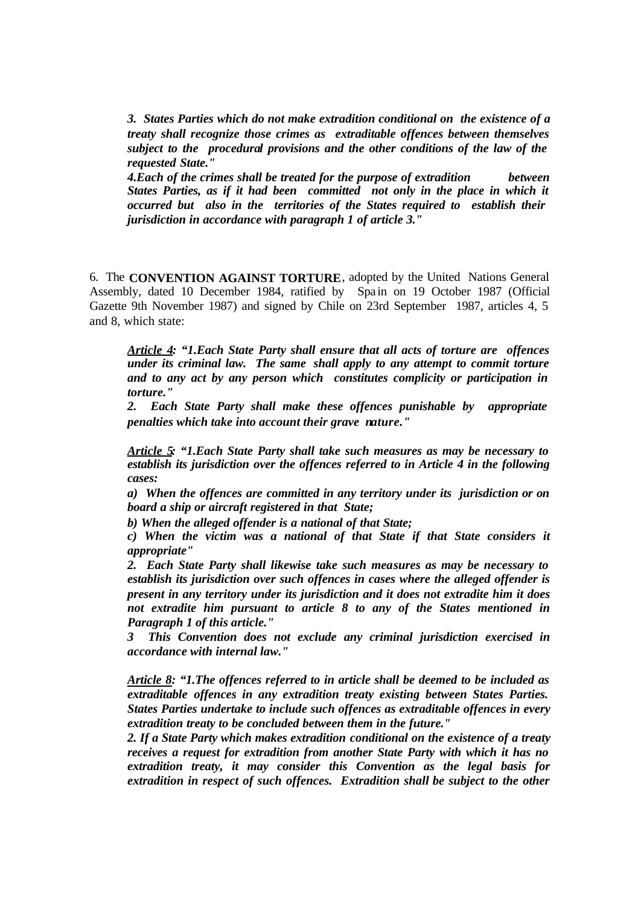*3. States Parties which do not make extradition conditional on the existence of a treaty shall recognize those crimes as extraditable offences between themselves subject to the procedural provisions and the other conditions of the law of the requested State."*

*4.Each of the crimes shall be treated for the purpose of extradition between States Parties, as if it had been committed not only in the place in which it occurred but also in the territories of the States required to establish their jurisdiction in accordance with paragraph 1 of article 3."*

6. The **CONVENTION AGAINST TORTURE**, adopted by the United Nations General Assembly, dated 10 December 1984, ratified by Spain on 19 October 1987 (Official Gazette 9th November 1987) and signed by Chile on 23rd September 1987, articles 4, 5 and 8, which state:

*Article 4: "1.Each State Party shall ensure that all acts of torture are offences under its criminal law. The same shall apply to any attempt to commit torture and to any act by any person which constitutes complicity or participation in torture."*

*2. Each State Party shall make these offences punishable by appropriate penalties which take into account their grave nature."*

*Article 5: "1.Each State Party shall take such measures as may be necessary to establish its jurisdiction over the offences referred to in Article 4 in the following cases:*

*a) When the offences are committed in any territory under its jurisdiction or on board a ship or aircraft registered in that State;*

*b) When the alleged offender is a national of that State;*

*c) When the victim was a national of that State if that State considers it appropriate"*

*2. Each State Party shall likewise take such measures as may be necessary to establish its jurisdiction over such offences in cases where the alleged offender is present in any territory under its jurisdiction and it does not extradite him it does not extradite him pursuant to article 8 to any of the States mentioned in Paragraph 1 of this article."*

*3 This Convention does not exclude any criminal jurisdiction exercised in accordance with internal law."*

*Article 8: "1.The offences referred to in article shall be deemed to be included as extraditable offences in any extradition treaty existing between States Parties. States Parties undertake to include such offences as extraditable offences in every extradition treaty to be concluded between them in the future."*

*2. If a State Party which makes extradition conditional on the existence of a treaty receives a request for extradition from another State Party with which it has no extradition treaty, it may consider this Convention as the legal basis for extradition in respect of such offences. Extradition shall be subject to the other*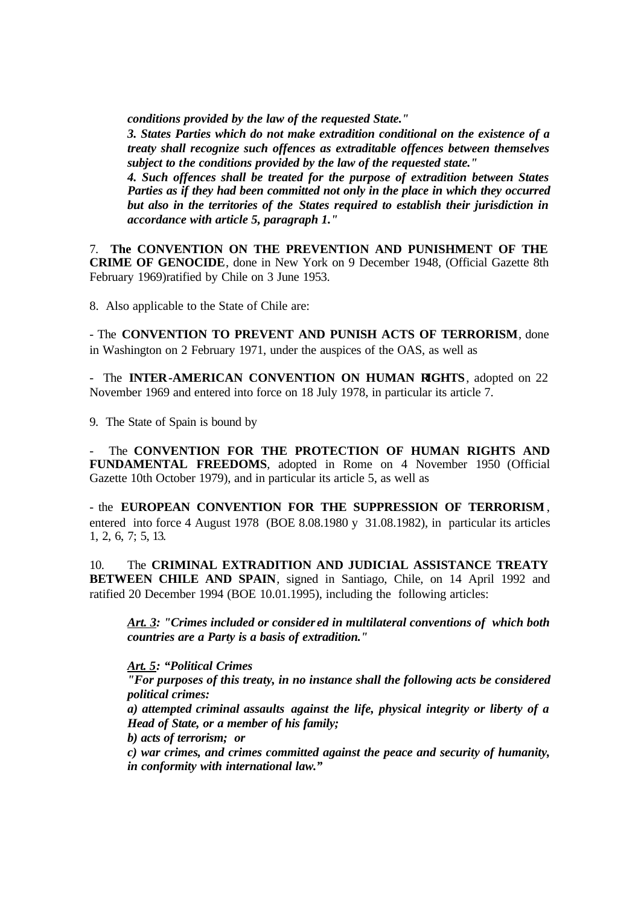*conditions provided by the law of the requested State." 3. States Parties which do not make extradition conditional on the existence of a treaty shall recognize such offences as extraditable offences between themselves subject to the conditions provided by the law of the requested state." 4. Such offences shall be treated for the purpose of extradition between States Parties as if they had been committed not only in the place in which they occurred but also in the territories of the States required to establish their jurisdiction in* 

7. **The CONVENTION ON THE PREVENTION AND PUNISHMENT OF THE CRIME OF GENOCIDE**, done in New York on 9 December 1948, (Official Gazette 8th February 1969)ratified by Chile on 3 June 1953.

8. Also applicable to the State of Chile are:

*accordance with article 5, paragraph 1."*

- The **CONVENTION TO PREVENT AND PUNISH ACTS OF TERRORISM**, done in Washington on 2 February 1971, under the auspices of the OAS, as well as

- The **INTER-AMERICAN CONVENTION ON HUMAN RIGHTS**, adopted on 22 November 1969 and entered into force on 18 July 1978, in particular its article 7.

9. The State of Spain is bound by

The **CONVENTION FOR THE PROTECTION OF HUMAN RIGHTS AND FUNDAMENTAL FREEDOMS**, adopted in Rome on 4 November 1950 (Official Gazette 10th October 1979), and in particular its article 5, as well as

- the **EUROPEAN CONVENTION FOR THE SUPPRESSION OF TERRORISM** , entered into force 4 August 1978 (BOE 8.08.1980 y 31.08.1982), in particular its articles 1, 2, 6, 7; 5, 13.

10. The **CRIMINAL EXTRADITION AND JUDICIAL ASSISTANCE TREATY BETWEEN CHILE AND SPAIN**, signed in Santiago, Chile, on 14 April 1992 and ratified 20 December 1994 (BOE 10.01.1995), including the following articles:

*Art. 3: "Crimes included or consider ed in multilateral conventions of which both countries are a Party is a basis of extradition."*

*Art. 5: "Political Crimes*

*"For purposes of this treaty, in no instance shall the following acts be considered political crimes:*

*a) attempted criminal assaults against the life, physical integrity or liberty of a Head of State, or a member of his family;*

*b) acts of terrorism; or*

*c) war crimes, and crimes committed against the peace and security of humanity, in conformity with international law."*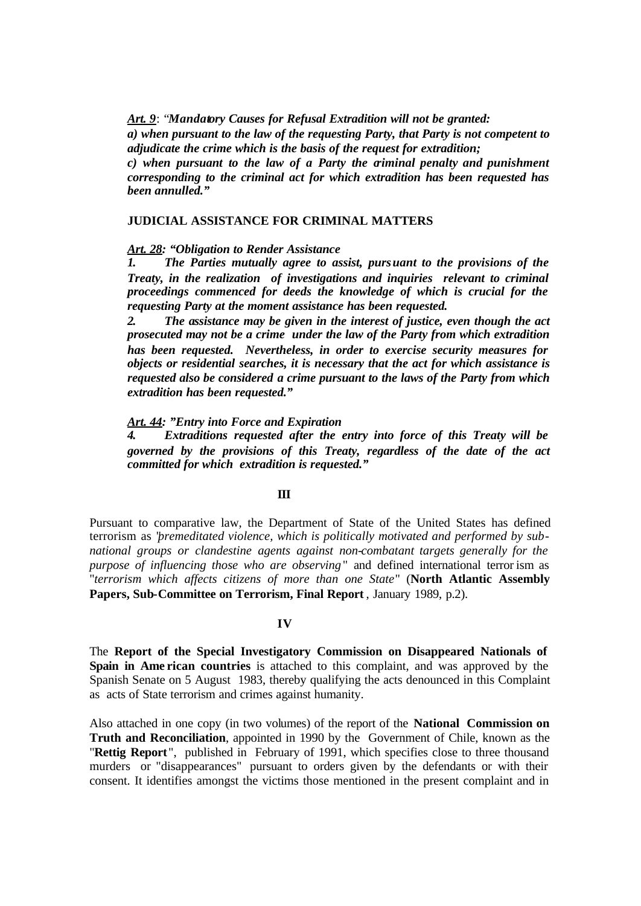*Art. 9*: "*Mandatory Causes for Refusal Extradition will not be granted: a) when pursuant to the law of the requesting Party, that Party is not competent to adjudicate the crime which is the basis of the request for extradition;*

*c) when pursuant to the law of a Party the criminal penalty and punishment corresponding to the criminal act for which extradition has been requested has been annulled."*

### **JUDICIAL ASSISTANCE FOR CRIMINAL MATTERS**

#### *Art. 28: "Obligation to Render Assistance*

*1. The Parties mutually agree to assist, pursuant to the provisions of the Treaty, in the realization of investigations and inquiries relevant to criminal proceedings commenced for deeds the knowledge of which is crucial for the requesting Party at the moment assistance has been requested.*

*2. The assistance may be given in the interest of justice, even though the act prosecuted may not be a crime under the law of the Party from which extradition has been requested. Nevertheless, in order to exercise security measures for objects or residential searches, it is necessary that the act for which assistance is requested also be considered a crime pursuant to the laws of the Party from which extradition has been requested."*

*Art. 44: "Entry into Force and Expiration* 

*4. Extraditions requested after the entry into force of this Treaty will be governed by the provisions of this Treaty, regardless of the date of the act committed for which extradition is requested."*

#### **III**

Pursuant to comparative law, the Department of State of the United States has defined terrorism as "*premeditated violence, which is politically motivated and performed by subnational groups or clandestine agents against non-combatant targets generally for the purpose of influencing those who are observing* " and defined international terror ism as "*terrorism which affects citizens of more than one State*" (**North Atlantic Assembly Papers, Sub-Committee on Terrorism, Final Report** , January 1989, p.2).

#### **IV**

The **Report of the Special Investigatory Commission on Disappeared Nationals of Spain in Ame rican countries** is attached to this complaint, and was approved by the Spanish Senate on 5 August 1983, thereby qualifying the acts denounced in this Complaint as acts of State terrorism and crimes against humanity.

Also attached in one copy (in two volumes) of the report of the **National Commission on Truth and Reconciliation**, appointed in 1990 by the Government of Chile, known as the "**Rettig Report** ", published in February of 1991, which specifies close to three thousand murders or "disappearances" pursuant to orders given by the defendants or with their consent. It identifies amongst the victims those mentioned in the present complaint and in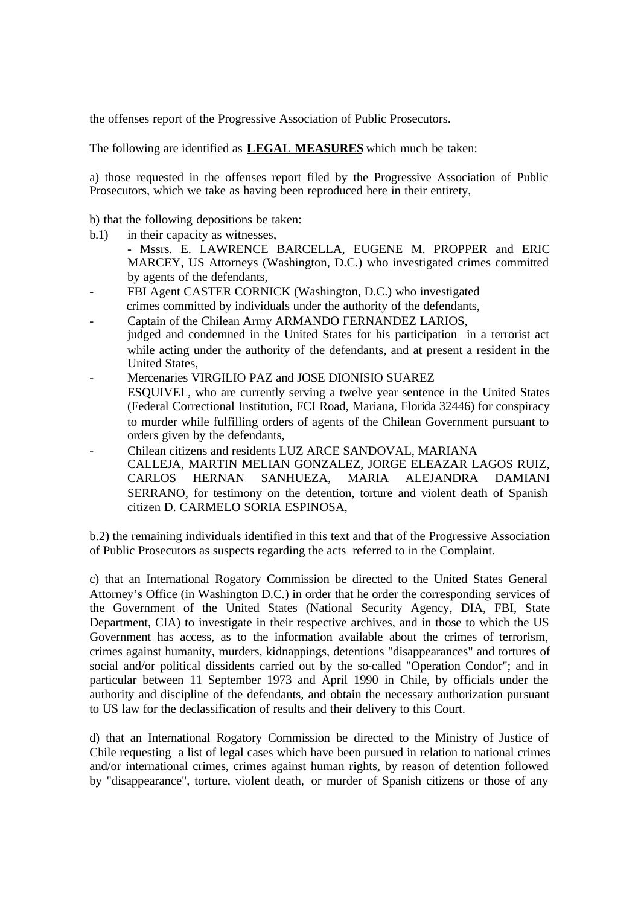the offenses report of the Progressive Association of Public Prosecutors.

The following are identified as **LEGAL MEASURES** which much be taken:

a) those requested in the offenses report filed by the Progressive Association of Public Prosecutors, which we take as having been reproduced here in their entirety,

b) that the following depositions be taken:

- b.1) in their capacity as witnesses,
	- Mssrs. E. LAWRENCE BARCELLA, EUGENE M. PROPPER and ERIC MARCEY, US Attorneys (Washington, D.C.) who investigated crimes committed by agents of the defendants,
- FBI Agent CASTER CORNICK (Washington, D.C.) who investigated crimes committed by individuals under the authority of the defendants,
- Captain of the Chilean Army ARMANDO FERNANDEZ LARIOS, judged and condemned in the United States for his participation in a terrorist act while acting under the authority of the defendants, and at present a resident in the United States,
- Mercenaries VIRGILIO PAZ and JOSE DIONISIO SUAREZ ESQUIVEL, who are currently serving a twelve year sentence in the United States (Federal Correctional Institution, FCI Road, Mariana, Florida 32446) for conspiracy to murder while fulfilling orders of agents of the Chilean Government pursuant to orders given by the defendants,
- Chilean citizens and residents LUZ ARCE SANDOVAL, MARIANA CALLEJA, MARTIN MELIAN GONZALEZ, JORGE ELEAZAR LAGOS RUIZ, CARLOS HERNAN SANHUEZA, MARIA ALEJANDRA DAMIANI SERRANO, for testimony on the detention, torture and violent death of Spanish citizen D. CARMELO SORIA ESPINOSA,

b.2) the remaining individuals identified in this text and that of the Progressive Association of Public Prosecutors as suspects regarding the acts referred to in the Complaint.

c) that an International Rogatory Commission be directed to the United States General Attorney's Office (in Washington D.C.) in order that he order the corresponding services of the Government of the United States (National Security Agency, DIA, FBI, State Department, CIA) to investigate in their respective archives, and in those to which the US Government has access, as to the information available about the crimes of terrorism, crimes against humanity, murders, kidnappings, detentions "disappearances" and tortures of social and/or political dissidents carried out by the so-called "Operation Condor"; and in particular between 11 September 1973 and April 1990 in Chile, by officials under the authority and discipline of the defendants, and obtain the necessary authorization pursuant to US law for the declassification of results and their delivery to this Court.

d) that an International Rogatory Commission be directed to the Ministry of Justice of Chile requesting a list of legal cases which have been pursued in relation to national crimes and/or international crimes, crimes against human rights, by reason of detention followed by "disappearance", torture, violent death, or murder of Spanish citizens or those of any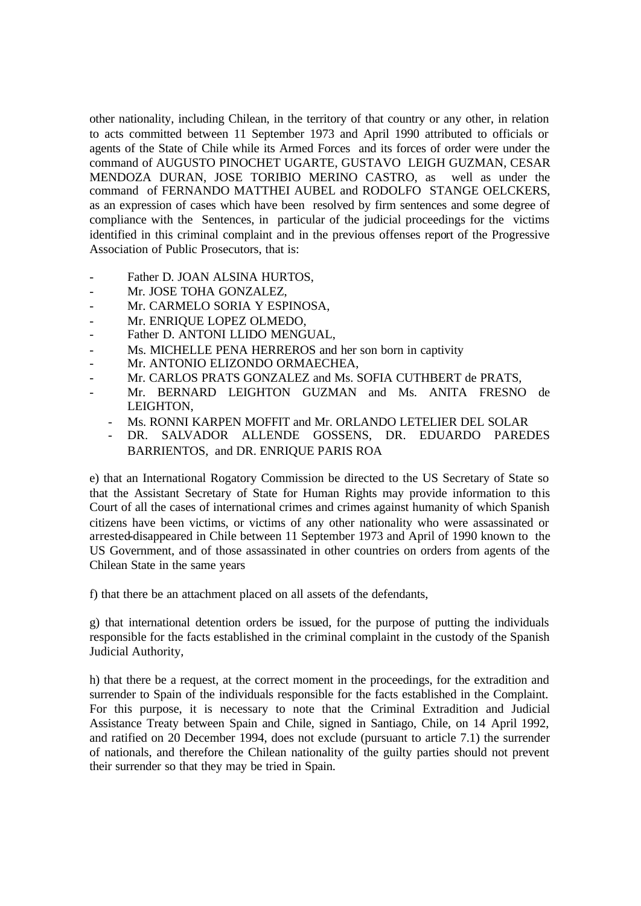other nationality, including Chilean, in the territory of that country or any other, in relation to acts committed between 11 September 1973 and April 1990 attributed to officials or agents of the State of Chile while its Armed Forces and its forces of order were under the command of AUGUSTO PINOCHET UGARTE, GUSTAVO LEIGH GUZMAN, CESAR MENDOZA DURAN, JOSE TORIBIO MERINO CASTRO, as well as under the command of FERNANDO MATTHEI AUBEL and RODOLFO STANGE OELCKERS, as an expression of cases which have been resolved by firm sentences and some degree of compliance with the Sentences, in particular of the judicial proceedings for the victims identified in this criminal complaint and in the previous offenses report of the Progressive Association of Public Prosecutors, that is:

- Father D. JOAN ALSINA HURTOS,
- Mr. JOSE TOHA GONZALEZ,
- Mr. CARMELO SORIA Y ESPINOSA,
- Mr. ENRIQUE LOPEZ OLMEDO,
- Father D. ANTONI LLIDO MENGUAL,
- Ms. MICHELLE PENA HERREROS and her son born in captivity
- Mr. ANTONIO ELIZONDO ORMAECHEA,
- Mr. CARLOS PRATS GONZALEZ and Ms. SOFIA CUTHBERT de PRATS,
- Mr. BERNARD LEIGHTON GUZMAN and Ms. ANITA FRESNO de LEIGHTON,
	- Ms. RONNI KARPEN MOFFIT and Mr. ORLANDO LETELIER DEL SOLAR
	- DR. SALVADOR ALLENDE GOSSENS, DR. EDUARDO PAREDES BARRIENTOS, and DR. ENRIQUE PARIS ROA

e) that an International Rogatory Commission be directed to the US Secretary of State so that the Assistant Secretary of State for Human Rights may provide information to this Court of all the cases of international crimes and crimes against humanity of which Spanish citizens have been victims, or victims of any other nationality who were assassinated or arrested-disappeared in Chile between 11 September 1973 and April of 1990 known to the US Government, and of those assassinated in other countries on orders from agents of the Chilean State in the same years

f) that there be an attachment placed on all assets of the defendants,

g) that international detention orders be issued, for the purpose of putting the individuals responsible for the facts established in the criminal complaint in the custody of the Spanish Judicial Authority,

h) that there be a request, at the correct moment in the proceedings, for the extradition and surrender to Spain of the individuals responsible for the facts established in the Complaint. For this purpose, it is necessary to note that the Criminal Extradition and Judicial Assistance Treaty between Spain and Chile, signed in Santiago, Chile, on 14 April 1992, and ratified on 20 December 1994, does not exclude (pursuant to article 7.1) the surrender of nationals, and therefore the Chilean nationality of the guilty parties should not prevent their surrender so that they may be tried in Spain.